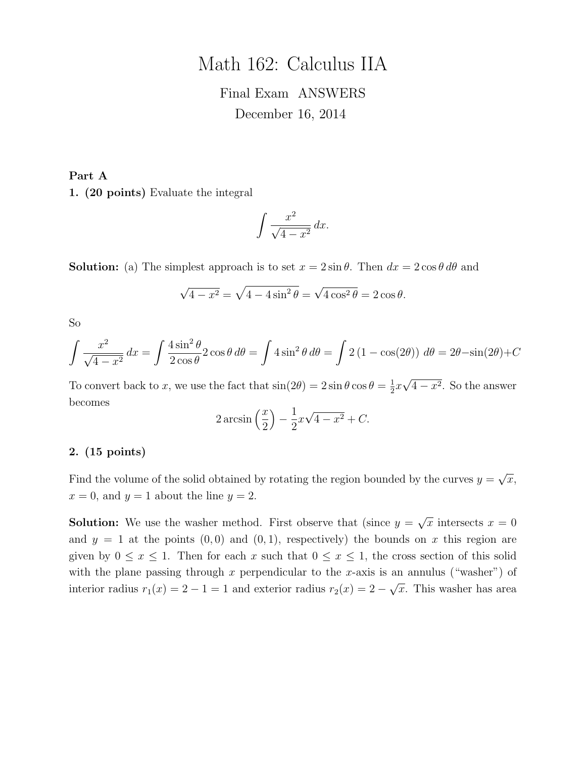# Math 162: Calculus IIA

# Final Exam ANSWERS December 16, 2014

Part A 1. (20 points) Evaluate the integral

$$
\int \frac{x^2}{\sqrt{4-x^2}} \, dx.
$$

**Solution:** (a) The simplest approach is to set  $x = 2 \sin \theta$ . Then  $dx = 2 \cos \theta d\theta$  and

$$
\sqrt{4 - x^2} = \sqrt{4 - 4\sin^2\theta} = \sqrt{4\cos^2\theta} = 2\cos\theta.
$$

So

$$
\int \frac{x^2}{\sqrt{4 - x^2}} dx = \int \frac{4 \sin^2 \theta}{2 \cos \theta} 2 \cos \theta d\theta = \int 4 \sin^2 \theta d\theta = \int 2 (1 - \cos(2\theta)) d\theta = 2\theta - \sin(2\theta) + C
$$

To convert back to x, we use the fact that  $\sin(2\theta) = 2\sin\theta\cos\theta = \frac{1}{2}$  $rac{1}{2}x$  $4-x^2$ . So the answer becomes

$$
2\arcsin\left(\frac{x}{2}\right) - \frac{1}{2}x\sqrt{4 - x^2} + C.
$$

#### 2. (15 points)

Find the volume of the solid obtained by rotating the region bounded by the curves  $y =$ √  $\overline{x},$  $x = 0$ , and  $y = 1$  about the line  $y = 2$ .

**Solution:** We use the washer method. First observe that (since  $y =$ √  $\overline{x}$  intersects  $x = 0$ and  $y = 1$  at the points  $(0, 0)$  and  $(0, 1)$ , respectively) the bounds on x this region are given by  $0 \le x \le 1$ . Then for each x such that  $0 \le x \le 1$ , the cross section of this solid with the plane passing through x perpendicular to the x-axis is an annulus ("washer") of interior radius  $r_1(x) = 2 - 1 = 1$  and exterior radius  $r_2(x) = 2 - 1$ √  $\overline{x}$ . This washer has area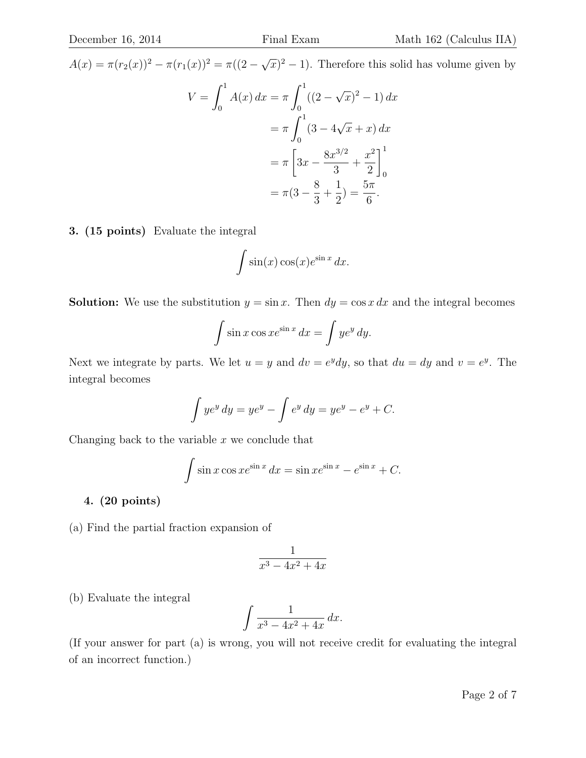$A(x) = \pi (r_2(x))^2 - \pi (r_1(x))^2 = \pi ((2 - \sqrt{\ }$  $(\overline{x})^2 - 1$ ). Therefore this solid has volume given by

$$
V = \int_0^1 A(x) dx = \pi \int_0^1 ((2 - \sqrt{x})^2 - 1) dx
$$
  
=  $\pi \int_0^1 (3 - 4\sqrt{x} + x) dx$   
=  $\pi \left[ 3x - \frac{8x^{3/2}}{3} + \frac{x^2}{2} \right]_0^1$   
=  $\pi (3 - \frac{8}{3} + \frac{1}{2}) = \frac{5\pi}{6}.$ 

3. (15 points) Evaluate the integral

$$
\int \sin(x) \cos(x) e^{\sin x} dx.
$$

**Solution:** We use the substitution  $y = \sin x$ . Then  $dy = \cos x dx$  and the integral becomes

$$
\int \sin x \cos x e^{\sin x} dx = \int y e^y dy.
$$

Next we integrate by parts. We let  $u = y$  and  $dv = e^y dy$ , so that  $du = dy$  and  $v = e^y$ . The integral becomes

$$
\int ye^y dy = ye^y - \int e^y dy = ye^y - e^y + C.
$$

Changing back to the variable  $x$  we conclude that

$$
\int \sin x \cos x e^{\sin x} dx = \sin x e^{\sin x} - e^{\sin x} + C.
$$

### 4. (20 points)

(a) Find the partial fraction expansion of

$$
\frac{1}{x^3 - 4x^2 + 4x}
$$

(b) Evaluate the integral

$$
\int \frac{1}{x^3 - 4x^2 + 4x} \, dx.
$$

(If your answer for part (a) is wrong, you will not receive credit for evaluating the integral of an incorrect function.)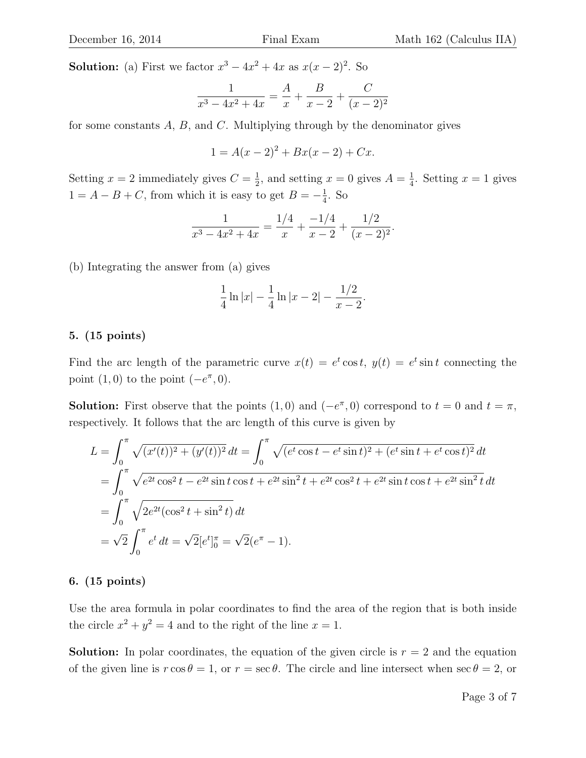**Solution:** (a) First we factor  $x^3 - 4x^2 + 4x$  as  $x(x - 2)^2$ . So

$$
\frac{1}{x^3 - 4x^2 + 4x} = \frac{A}{x} + \frac{B}{x - 2} + \frac{C}{(x - 2)^2}
$$

for some constants  $A, B$ , and  $C$ . Multiplying through by the denominator gives

$$
1 = A(x - 2)^2 + Bx(x - 2) + Cx.
$$

Setting  $x = 2$  immediately gives  $C = \frac{1}{2}$  $\frac{1}{2}$ , and setting  $x = 0$  gives  $A = \frac{1}{4}$  $\frac{1}{4}$ . Setting  $x = 1$  gives  $1 = A - B + C$ , from which it is easy to get  $B = -\frac{1}{4}$  $\frac{1}{4}$ . So

$$
\frac{1}{x^3 - 4x^2 + 4x} = \frac{1/4}{x} + \frac{-1/4}{x - 2} + \frac{1/2}{(x - 2)^2}.
$$

(b) Integrating the answer from (a) gives

$$
\frac{1}{4}\ln|x| - \frac{1}{4}\ln|x-2| - \frac{1/2}{x-2}.
$$

#### 5. (15 points)

Find the arc length of the parametric curve  $x(t) = e^t \cos t$ ,  $y(t) = e^t \sin t$  connecting the point  $(1,0)$  to the point  $(-e^{\pi},0)$ .

**Solution:** First observe that the points  $(1,0)$  and  $(-e^{\pi},0)$  correspond to  $t=0$  and  $t=\pi$ , respectively. It follows that the arc length of this curve is given by

$$
L = \int_0^{\pi} \sqrt{(x'(t))^2 + (y'(t))^2} dt = \int_0^{\pi} \sqrt{(e^t \cos t - e^t \sin t)^2 + (e^t \sin t + e^t \cos t)^2} dt
$$
  
= 
$$
\int_0^{\pi} \sqrt{e^{2t} \cos^2 t - e^{2t} \sin t \cos t + e^{2t} \sin^2 t + e^{2t} \cos^2 t + e^{2t} \sin t \cos t + e^{2t} \sin^2 t} dt
$$
  
= 
$$
\int_0^{\pi} \sqrt{2e^{2t} (\cos^2 t + \sin^2 t)} dt
$$
  
= 
$$
\sqrt{2} \int_0^{\pi} e^t dt = \sqrt{2} [e^t]_0^{\pi} = \sqrt{2} (e^{\pi} - 1).
$$

#### 6. (15 points)

Use the area formula in polar coordinates to find the area of the region that is both inside the circle  $x^2 + y^2 = 4$  and to the right of the line  $x = 1$ .

**Solution:** In polar coordinates, the equation of the given circle is  $r = 2$  and the equation of the given line is  $r \cos \theta = 1$ , or  $r = \sec \theta$ . The circle and line intersect when  $\sec \theta = 2$ , or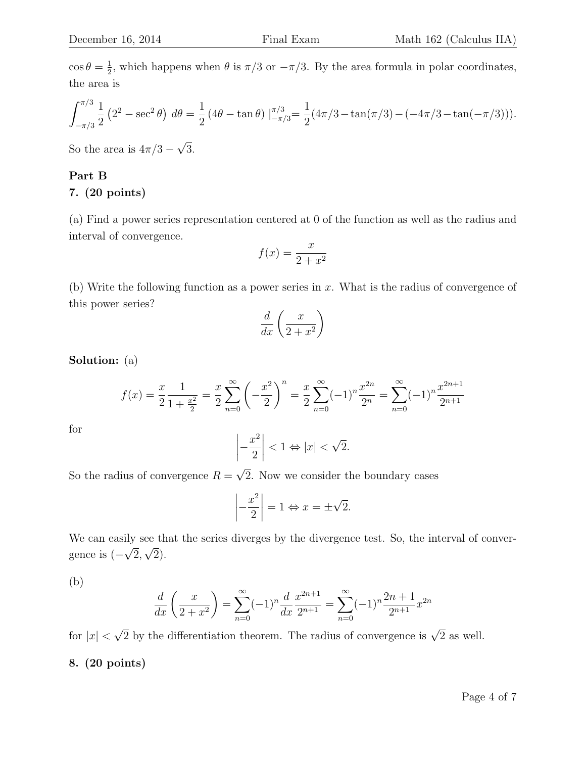$\cos \theta = \frac{1}{2}$  $\frac{1}{2}$ , which happens when  $\theta$  is  $\pi/3$  or  $-\pi/3$ . By the area formula in polar coordinates, the area is

$$
\int_{-\pi/3}^{\pi/3} \frac{1}{2} \left(2^2 - \sec^2 \theta\right) d\theta = \frac{1}{2} \left(4\theta - \tan \theta\right) \Big|_{-\pi/3}^{\pi/3} = \frac{1}{2} \left(4\pi/3 - \tan(\pi/3) - (-4\pi/3 - \tan(-\pi/3))\right).
$$

So the area is  $4\pi/3 -$ √ 3.

## Part B

## 7. (20 points)

(a) Find a power series representation centered at 0 of the function as well as the radius and interval of convergence.

$$
f(x) = \frac{x}{2 + x^2}
$$

(b) Write the following function as a power series in  $x$ . What is the radius of convergence of this power series?

$$
\frac{d}{dx}\left(\frac{x}{2+x^2}\right)
$$

Solution: (a)

$$
f(x) = \frac{x}{2} \frac{1}{1 + \frac{x^2}{2}} = \frac{x}{2} \sum_{n=0}^{\infty} \left( -\frac{x^2}{2} \right)^n = \frac{x}{2} \sum_{n=0}^{\infty} (-1)^n \frac{x^{2n}}{2^n} = \sum_{n=0}^{\infty} (-1)^n \frac{x^{2n+1}}{2^{n+1}}
$$

$$
\left| -\frac{x^2}{2} \right| < 1 \Leftrightarrow |x| < \sqrt{2}.
$$

for

$$
\left| -\frac{x^2}{2} \right| < 1 \Leftrightarrow |x| < \sqrt{2}.
$$

So the radius of convergence  $R =$ 2. Now we consider the boundary cases

$$
\left| -\frac{x^2}{2} \right| = 1 \Leftrightarrow x = \pm \sqrt{2}.
$$

We can easily see that the series diverges by the divergence test. So, the interval of convergence is (− µ<br>∫ 2, √ 2).

(b)

$$
\frac{d}{dx}\left(\frac{x}{2+x^2}\right) = \sum_{n=0}^{\infty} (-1)^n \frac{d}{dx} \frac{x^{2n+1}}{2^{n+1}} = \sum_{n=0}^{\infty} (-1)^n \frac{2n+1}{2^{n+1}} x^{2n}
$$

for  $|x|$  <  $\sqrt{2}$  by the differentiation theorem. The radius of convergence is  $\sqrt{2}$  as well.

## 8. (20 points)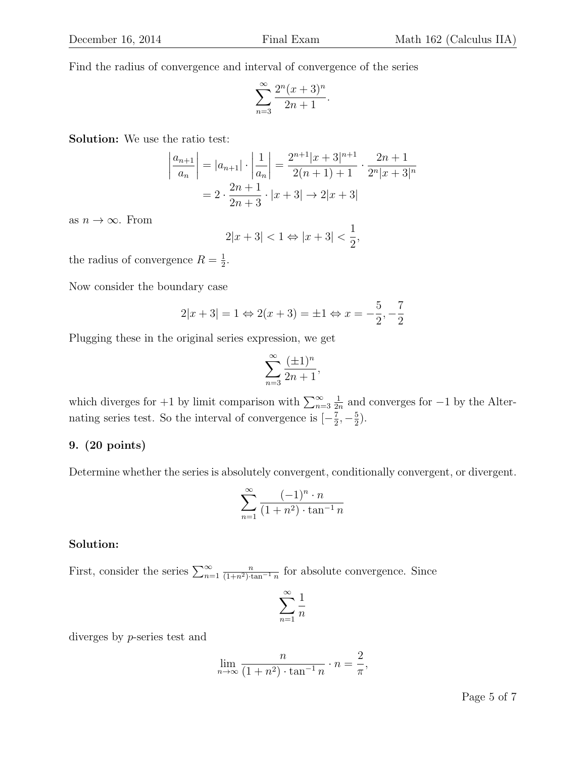Find the radius of convergence and interval of convergence of the series

$$
\sum_{n=3}^{\infty} \frac{2^n (x+3)^n}{2n+1}.
$$

Solution: We use the ratio test:

$$
\left| \frac{a_{n+1}}{a_n} \right| = |a_{n+1}| \cdot \left| \frac{1}{a_n} \right| = \frac{2^{n+1} |x+3|^{n+1}}{2(n+1)+1} \cdot \frac{2n+1}{2^n |x+3|^n}
$$

$$
= 2 \cdot \frac{2n+1}{2n+3} \cdot |x+3| \to 2|x+3|
$$

as  $n \to \infty$ . From

$$
2|x+3| < 1 \Leftrightarrow |x+3| < \frac{1}{2},
$$

the radius of convergence  $R=\frac{1}{2}$  $\frac{1}{2}$ .

Now consider the boundary case

$$
2|x+3| = 1 \Leftrightarrow 2(x+3) = \pm 1 \Leftrightarrow x = -\frac{5}{2}, -\frac{7}{2}
$$

Plugging these in the original series expression, we get

$$
\sum_{n=3}^{\infty} \frac{(\pm 1)^n}{2n+1},
$$

which diverges for  $+1$  by limit comparison with  $\sum_{n=3}^{\infty}$ 1  $\frac{1}{2n}$  and converges for  $-1$  by the Alternating series test. So the interval of convergence is  $\left[-\frac{7}{2}\right]$  $\frac{7}{2}, -\frac{5}{2}$  $\frac{5}{2}$ .

### 9. (20 points)

Determine whether the series is absolutely convergent, conditionally convergent, or divergent.

$$
\sum_{n=1}^{\infty} \frac{(-1)^n \cdot n}{(1+n^2) \cdot \tan^{-1} n}
$$

#### Solution:

First, consider the series  $\sum_{n=1}^{\infty}$  $\frac{n}{(1+n^2)\cdot \tan^{-1} n}$  for absolute convergence. Since

$$
\sum_{n=1}^{\infty} \frac{1}{n}
$$

diverges by p-series test and

$$
\lim_{n \to \infty} \frac{n}{(1 + n^2) \cdot \tan^{-1} n} \cdot n = \frac{2}{\pi},
$$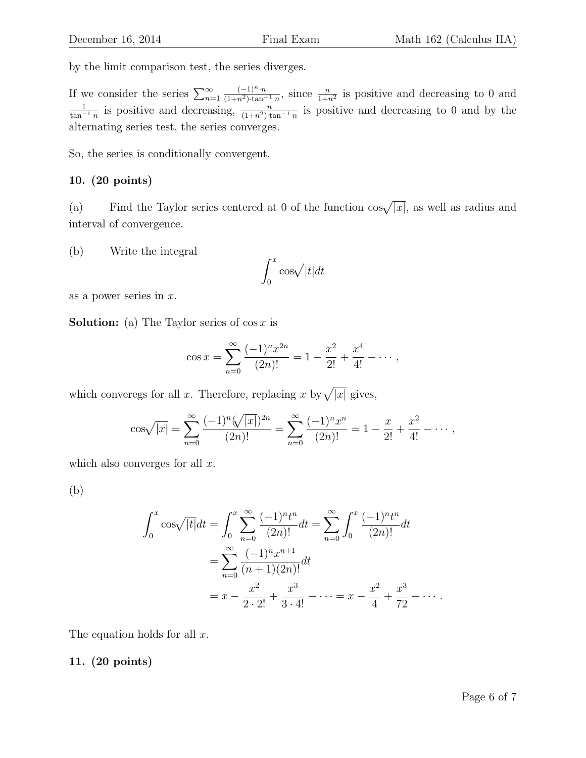by the limit comparison test, the series diverges.

If we consider the series  $\sum_{n=1}^{\infty}$  $(-1)^n \cdot n$  $\frac{(-1)^n \cdot n}{(1+n^2)\cdot \tan^{-1} n}$ , since  $\frac{n}{1+n^2}$  is positive and decreasing to 0 and  $\frac{1}{\tan^{-1} n}$  is positive and decreasing,  $\frac{n}{(1+n^2)\cdot \tan^{-1} n}$  is positive and decreasing to 0 and by the alternating series test, the series converges.

So, the series is conditionally convergent.

# 10. (20 points)

(a) Find the Taylor series centered at 0 of the function  $\cos\sqrt{|x|}$ , as well as radius and interval of convergence.

(b) Write the integral

$$
\int_0^x \cos\sqrt{|t|} dt
$$

as a power series in  $x$ .

**Solution:** (a) The Taylor series of  $\cos x$  is

$$
\cos x = \sum_{n=0}^{\infty} \frac{(-1)^n x^{2n}}{(2n)!} = 1 - \frac{x^2}{2!} + \frac{x^4}{4!} - \dots,
$$

which converegs for all x. Therefore, replacing x by  $\sqrt{|x|}$  gives,

$$
\cos\sqrt{|x|} = \sum_{n=0}^{\infty} \frac{(-1)^n (\sqrt{|x|})^{2n}}{(2n)!} = \sum_{n=0}^{\infty} \frac{(-1)^n x^n}{(2n)!} = 1 - \frac{x}{2!} + \frac{x^2}{4!} - \dots,
$$

which also converges for all  $x$ .

(b)

$$
\int_0^x \cos\sqrt{|t|} dt = \int_0^x \sum_{n=0}^\infty \frac{(-1)^n t^n}{(2n)!} dt = \sum_{n=0}^\infty \int_0^x \frac{(-1)^n t^n}{(2n)!} dt
$$
  
= 
$$
\sum_{n=0}^\infty \frac{(-1)^n x^{n+1}}{(n+1)(2n)!} dt
$$
  
= 
$$
x - \frac{x^2}{2 \cdot 2!} + \frac{x^3}{3 \cdot 4!} - \dots = x - \frac{x^2}{4} + \frac{x^3}{72} - \dots
$$

The equation holds for all  $x$ .

# 11. (20 points)